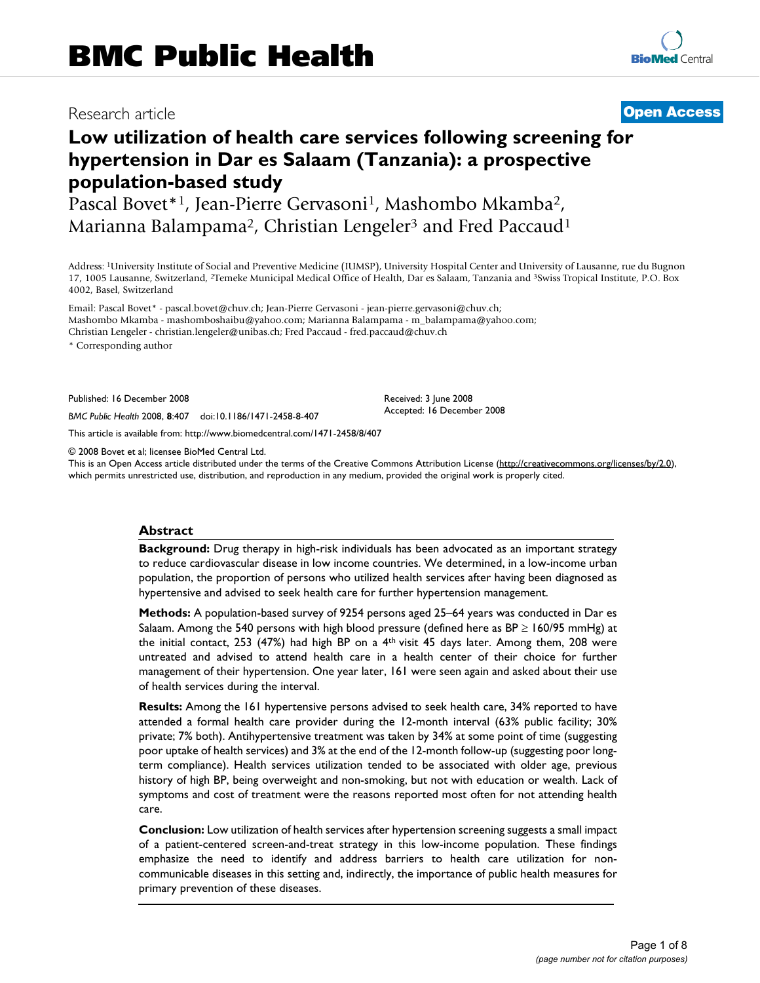# **[BioMed](http://www.biomedcentral.com/)** Central

## Research article **[Open Access](http://www.biomedcentral.com/info/about/charter/)**

# **Low utilization of health care services following screening for hypertension in Dar es Salaam (Tanzania): a prospective population-based study**

Pascal Bovet\*<sup>1</sup>, Jean-Pierre Gervasoni<sup>1</sup>, Mashombo Mkamba<sup>2</sup>, Marianna Balampama<sup>2</sup>, Christian Lengeler<sup>3</sup> and Fred Paccaud<sup>1</sup>

Address: 1University Institute of Social and Preventive Medicine (IUMSP), University Hospital Center and University of Lausanne, rue du Bugnon 17, 1005 Lausanne, Switzerland, 2Temeke Municipal Medical Office of Health, Dar es Salaam, Tanzania and 3Swiss Tropical Institute, P.O. Box 4002, Basel, Switzerland

Email: Pascal Bovet\* - pascal.bovet@chuv.ch; Jean-Pierre Gervasoni - jean-pierre.gervasoni@chuv.ch; Mashombo Mkamba - mashomboshaibu@yahoo.com; Marianna Balampama - m\_balampama@yahoo.com; Christian Lengeler - christian.lengeler@unibas.ch; Fred Paccaud - fred.paccaud@chuv.ch

\* Corresponding author

Published: 16 December 2008

*BMC Public Health* 2008, **8**:407 doi:10.1186/1471-2458-8-407

[This article is available from: http://www.biomedcentral.com/1471-2458/8/407](http://www.biomedcentral.com/1471-2458/8/407)

© 2008 Bovet et al; licensee BioMed Central Ltd.

This is an Open Access article distributed under the terms of the Creative Commons Attribution License [\(http://creativecommons.org/licenses/by/2.0\)](http://creativecommons.org/licenses/by/2.0), which permits unrestricted use, distribution, and reproduction in any medium, provided the original work is properly cited.

Received: 3 June 2008 Accepted: 16 December 2008

#### **Abstract**

**Background:** Drug therapy in high-risk individuals has been advocated as an important strategy to reduce cardiovascular disease in low income countries. We determined, in a low-income urban population, the proportion of persons who utilized health services after having been diagnosed as hypertensive and advised to seek health care for further hypertension management.

**Methods:** A population-based survey of 9254 persons aged 25–64 years was conducted in Dar es Salaam. Among the 540 persons with high blood pressure (defined here as BP  $\geq$  160/95 mmHg) at the initial contact, 253 (47%) had high BP on a 4<sup>th</sup> visit 45 days later. Among them, 208 were untreated and advised to attend health care in a health center of their choice for further management of their hypertension. One year later, 161 were seen again and asked about their use of health services during the interval.

**Results:** Among the 161 hypertensive persons advised to seek health care, 34% reported to have attended a formal health care provider during the 12-month interval (63% public facility; 30% private; 7% both). Antihypertensive treatment was taken by 34% at some point of time (suggesting poor uptake of health services) and 3% at the end of the 12-month follow-up (suggesting poor longterm compliance). Health services utilization tended to be associated with older age, previous history of high BP, being overweight and non-smoking, but not with education or wealth. Lack of symptoms and cost of treatment were the reasons reported most often for not attending health care.

**Conclusion:** Low utilization of health services after hypertension screening suggests a small impact of a patient-centered screen-and-treat strategy in this low-income population. These findings emphasize the need to identify and address barriers to health care utilization for noncommunicable diseases in this setting and, indirectly, the importance of public health measures for primary prevention of these diseases.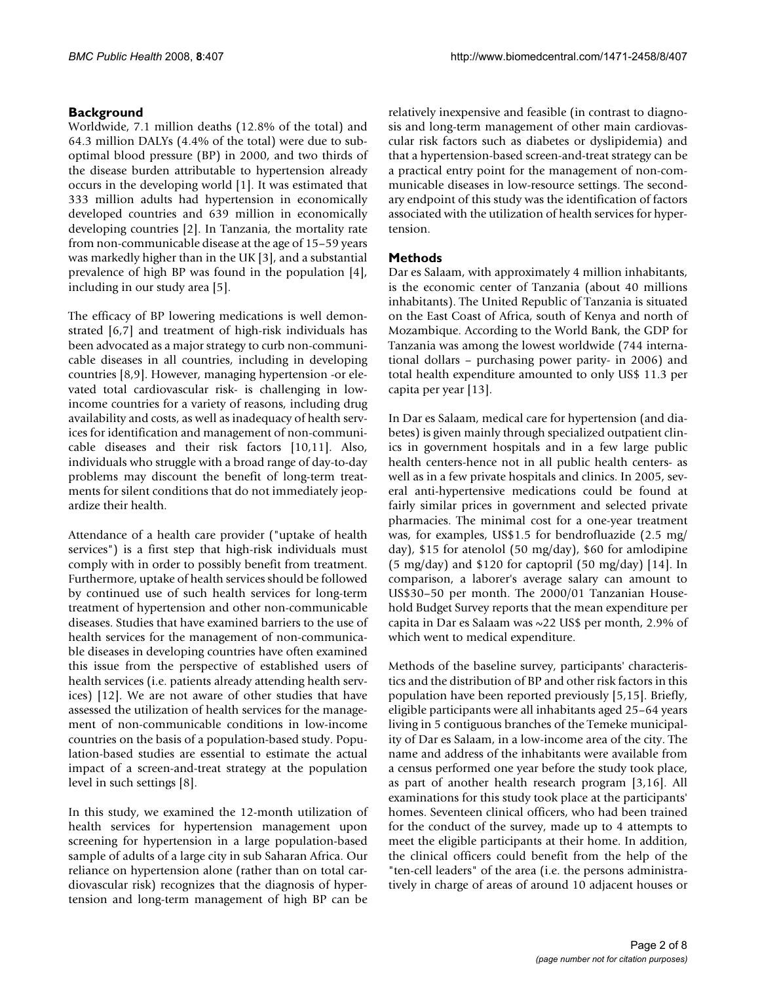### **Background**

Worldwide, 7.1 million deaths (12.8% of the total) and 64.3 million DALYs (4.4% of the total) were due to suboptimal blood pressure (BP) in 2000, and two thirds of the disease burden attributable to hypertension already occurs in the developing world [1]. It was estimated that 333 million adults had hypertension in economically developed countries and 639 million in economically developing countries [2]. In Tanzania, the mortality rate from non-communicable disease at the age of 15–59 years was markedly higher than in the UK [3], and a substantial prevalence of high BP was found in the population [4], including in our study area [5].

The efficacy of BP lowering medications is well demonstrated [6,7] and treatment of high-risk individuals has been advocated as a major strategy to curb non-communicable diseases in all countries, including in developing countries [8,9]. However, managing hypertension -or elevated total cardiovascular risk- is challenging in lowincome countries for a variety of reasons, including drug availability and costs, as well as inadequacy of health services for identification and management of non-communicable diseases and their risk factors [10,11]. Also, individuals who struggle with a broad range of day-to-day problems may discount the benefit of long-term treatments for silent conditions that do not immediately jeopardize their health.

Attendance of a health care provider ("uptake of health services") is a first step that high-risk individuals must comply with in order to possibly benefit from treatment. Furthermore, uptake of health services should be followed by continued use of such health services for long-term treatment of hypertension and other non-communicable diseases. Studies that have examined barriers to the use of health services for the management of non-communicable diseases in developing countries have often examined this issue from the perspective of established users of health services (i.e. patients already attending health services) [12]. We are not aware of other studies that have assessed the utilization of health services for the management of non-communicable conditions in low-income countries on the basis of a population-based study. Population-based studies are essential to estimate the actual impact of a screen-and-treat strategy at the population level in such settings [8].

In this study, we examined the 12-month utilization of health services for hypertension management upon screening for hypertension in a large population-based sample of adults of a large city in sub Saharan Africa. Our reliance on hypertension alone (rather than on total cardiovascular risk) recognizes that the diagnosis of hypertension and long-term management of high BP can be relatively inexpensive and feasible (in contrast to diagnosis and long-term management of other main cardiovascular risk factors such as diabetes or dyslipidemia) and that a hypertension-based screen-and-treat strategy can be a practical entry point for the management of non-communicable diseases in low-resource settings. The secondary endpoint of this study was the identification of factors associated with the utilization of health services for hypertension.

### **Methods**

Dar es Salaam, with approximately 4 million inhabitants, is the economic center of Tanzania (about 40 millions inhabitants). The United Republic of Tanzania is situated on the East Coast of Africa, south of Kenya and north of Mozambique. According to the World Bank, the GDP for Tanzania was among the lowest worldwide (744 international dollars – purchasing power parity- in 2006) and total health expenditure amounted to only US\$ 11.3 per capita per year [13].

In Dar es Salaam, medical care for hypertension (and diabetes) is given mainly through specialized outpatient clinics in government hospitals and in a few large public health centers-hence not in all public health centers- as well as in a few private hospitals and clinics. In 2005, several anti-hypertensive medications could be found at fairly similar prices in government and selected private pharmacies. The minimal cost for a one-year treatment was, for examples, US\$1.5 for bendrofluazide (2.5 mg/ day), \$15 for atenolol (50 mg/day), \$60 for amlodipine (5 mg/day) and \$120 for captopril (50 mg/day) [14]. In comparison, a laborer's average salary can amount to US\$30–50 per month. The 2000/01 Tanzanian Household Budget Survey reports that the mean expenditure per capita in Dar es Salaam was ~22 US\$ per month, 2.9% of which went to medical expenditure.

Methods of the baseline survey, participants' characteristics and the distribution of BP and other risk factors in this population have been reported previously [5,15]. Briefly, eligible participants were all inhabitants aged 25–64 years living in 5 contiguous branches of the Temeke municipality of Dar es Salaam, in a low-income area of the city. The name and address of the inhabitants were available from a census performed one year before the study took place, as part of another health research program [3,16]. All examinations for this study took place at the participants' homes. Seventeen clinical officers, who had been trained for the conduct of the survey, made up to 4 attempts to meet the eligible participants at their home. In addition, the clinical officers could benefit from the help of the "ten-cell leaders" of the area (i.e. the persons administratively in charge of areas of around 10 adjacent houses or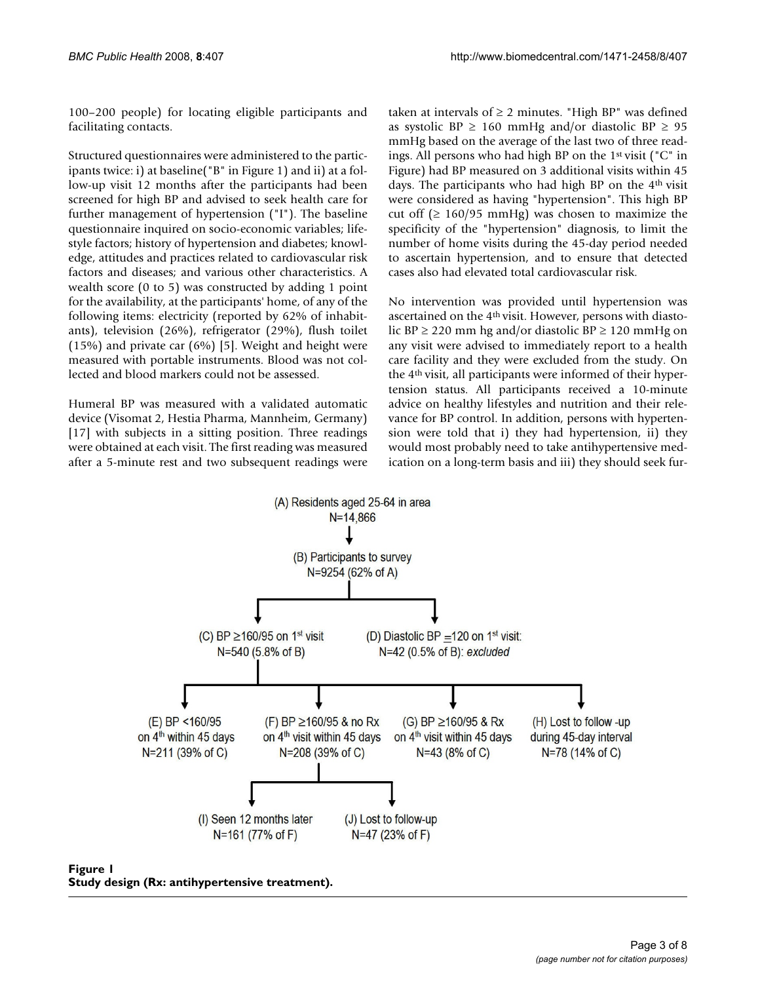100–200 people) for locating eligible participants and facilitating contacts.

Structured questionnaires were administered to the participants twice: i) at baseline("B" in Figure 1) and ii) at a follow-up visit 12 months after the participants had been screened for high BP and advised to seek health care for further management of hypertension ("I"). The baseline questionnaire inquired on socio-economic variables; lifestyle factors; history of hypertension and diabetes; knowledge, attitudes and practices related to cardiovascular risk factors and diseases; and various other characteristics. A wealth score (0 to 5) was constructed by adding 1 point for the availability, at the participants' home, of any of the following items: electricity (reported by 62% of inhabitants), television (26%), refrigerator (29%), flush toilet (15%) and private car (6%) [5]. Weight and height were measured with portable instruments. Blood was not collected and blood markers could not be assessed.

Humeral BP was measured with a validated automatic device (Visomat 2, Hestia Pharma, Mannheim, Germany) [17] with subjects in a sitting position. Three readings were obtained at each visit. The first reading was measured after a 5-minute rest and two subsequent readings were taken at intervals of  $\geq 2$  minutes. "High BP" was defined as systolic BP  $\geq$  160 mmHg and/or diastolic BP  $\geq$  95 mmHg based on the average of the last two of three readings. All persons who had high BP on the 1st visit ("C" in Figure) had BP measured on 3 additional visits within 45 days. The participants who had high BP on the 4th visit were considered as having "hypertension". This high BP cut off ( $\geq 160/95$  mmHg) was chosen to maximize the specificity of the "hypertension" diagnosis, to limit the number of home visits during the 45-day period needed to ascertain hypertension, and to ensure that detected cases also had elevated total cardiovascular risk.

No intervention was provided until hypertension was ascertained on the 4th visit. However, persons with diastolic BP  $\ge$  220 mm hg and/or diastolic BP  $\ge$  120 mmHg on any visit were advised to immediately report to a health care facility and they were excluded from the study. On the 4th visit, all participants were informed of their hypertension status. All participants received a 10-minute advice on healthy lifestyles and nutrition and their relevance for BP control. In addition, persons with hypertension were told that i) they had hypertension, ii) they would most probably need to take antihypertensive medication on a long-term basis and iii) they should seek fur-



**Figure 1 Study design (Rx: antihypertensive treatment).**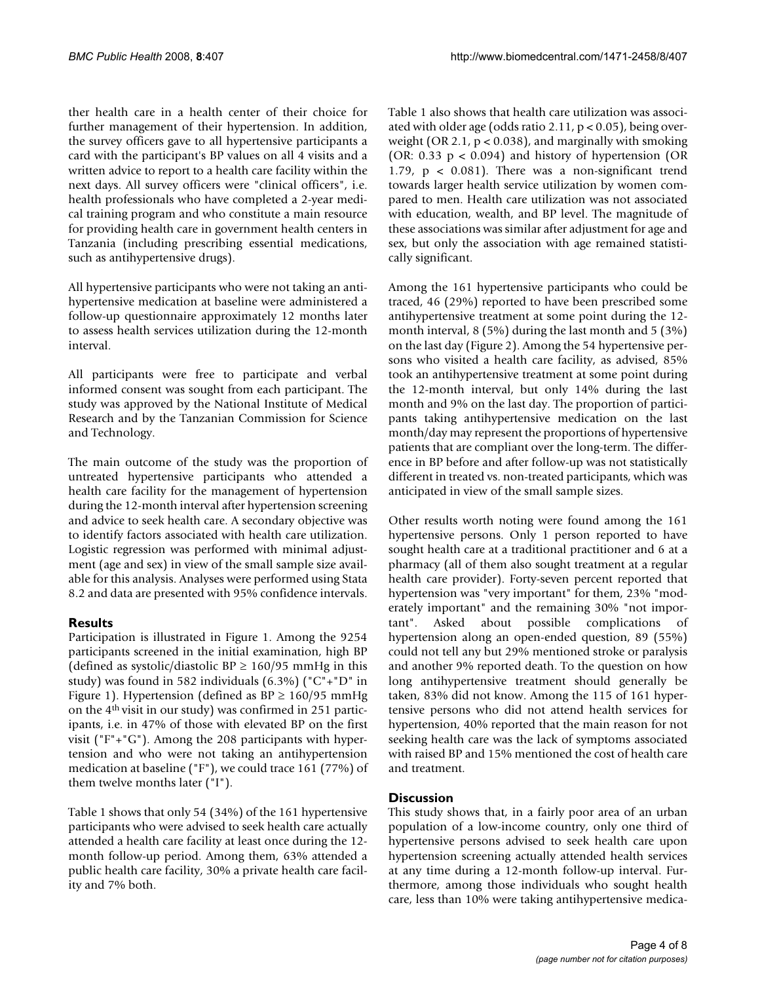ther health care in a health center of their choice for further management of their hypertension. In addition, the survey officers gave to all hypertensive participants a card with the participant's BP values on all 4 visits and a written advice to report to a health care facility within the next days. All survey officers were "clinical officers", i.e. health professionals who have completed a 2-year medical training program and who constitute a main resource for providing health care in government health centers in Tanzania (including prescribing essential medications, such as antihypertensive drugs).

All hypertensive participants who were not taking an antihypertensive medication at baseline were administered a follow-up questionnaire approximately 12 months later to assess health services utilization during the 12-month interval.

All participants were free to participate and verbal informed consent was sought from each participant. The study was approved by the National Institute of Medical Research and by the Tanzanian Commission for Science and Technology.

The main outcome of the study was the proportion of untreated hypertensive participants who attended a health care facility for the management of hypertension during the 12-month interval after hypertension screening and advice to seek health care. A secondary objective was to identify factors associated with health care utilization. Logistic regression was performed with minimal adjustment (age and sex) in view of the small sample size available for this analysis. Analyses were performed using Stata 8.2 and data are presented with 95% confidence intervals.

### **Results**

Participation is illustrated in Figure 1. Among the 9254 participants screened in the initial examination, high BP (defined as systolic/diastolic BP  $\geq 160/95$  mmHg in this study) was found in 582 individuals (6.3%) ("C"+"D" in Figure 1). Hypertension (defined as  $BP \ge 160/95$  mmHg on the 4th visit in our study) was confirmed in 251 participants, i.e. in 47% of those with elevated BP on the first visit ("F"+"G"). Among the 208 participants with hypertension and who were not taking an antihypertension medication at baseline ("F"), we could trace 161 (77%) of them twelve months later ("I").

Table 1 shows that only 54 (34%) of the 161 hypertensive participants who were advised to seek health care actually attended a health care facility at least once during the 12 month follow-up period. Among them, 63% attended a public health care facility, 30% a private health care facility and 7% both.

Table 1 also shows that health care utilization was associated with older age (odds ratio 2.11,  $p < 0.05$ ), being overweight (OR 2.1, p < 0.038), and marginally with smoking (OR:  $0.33$  p <  $0.094$ ) and history of hypertension (OR 1.79,  $p < 0.081$ ). There was a non-significant trend towards larger health service utilization by women compared to men. Health care utilization was not associated with education, wealth, and BP level. The magnitude of these associations was similar after adjustment for age and sex, but only the association with age remained statistically significant.

Among the 161 hypertensive participants who could be traced, 46 (29%) reported to have been prescribed some antihypertensive treatment at some point during the 12 month interval, 8 (5%) during the last month and 5 (3%) on the last day (Figure 2). Among the 54 hypertensive persons who visited a health care facility, as advised, 85% took an antihypertensive treatment at some point during the 12-month interval, but only 14% during the last month and 9% on the last day. The proportion of participants taking antihypertensive medication on the last month/day may represent the proportions of hypertensive patients that are compliant over the long-term. The difference in BP before and after follow-up was not statistically different in treated vs. non-treated participants, which was anticipated in view of the small sample sizes.

Other results worth noting were found among the 161 hypertensive persons. Only 1 person reported to have sought health care at a traditional practitioner and 6 at a pharmacy (all of them also sought treatment at a regular health care provider). Forty-seven percent reported that hypertension was "very important" for them, 23% "moderately important" and the remaining 30% "not important". Asked about possible complications of hypertension along an open-ended question, 89 (55%) could not tell any but 29% mentioned stroke or paralysis and another 9% reported death. To the question on how long antihypertensive treatment should generally be taken, 83% did not know. Among the 115 of 161 hypertensive persons who did not attend health services for hypertension, 40% reported that the main reason for not seeking health care was the lack of symptoms associated with raised BP and 15% mentioned the cost of health care and treatment.

### **Discussion**

This study shows that, in a fairly poor area of an urban population of a low-income country, only one third of hypertensive persons advised to seek health care upon hypertension screening actually attended health services at any time during a 12-month follow-up interval. Furthermore, among those individuals who sought health care, less than 10% were taking antihypertensive medica-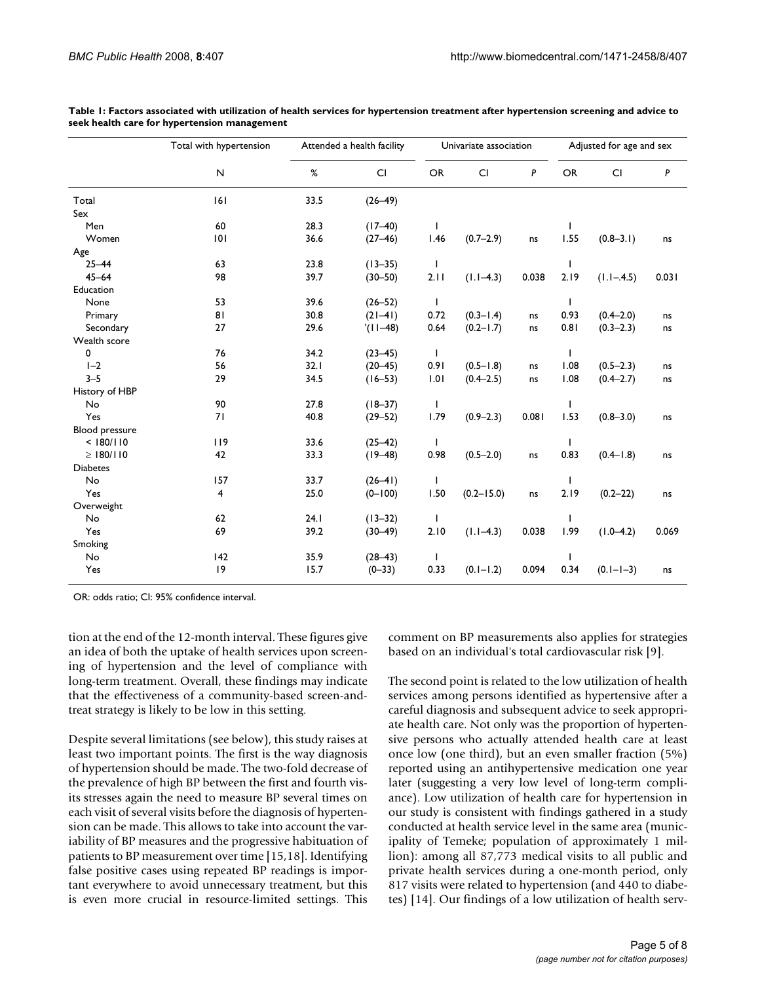|                 | Total with hypertension | Attended a health facility |             | Univariate association |                |       | Adjusted for age and sex |                 |       |
|-----------------|-------------------------|----------------------------|-------------|------------------------|----------------|-------|--------------------------|-----------------|-------|
|                 | $\sf N$                 | %                          | Cl          | OR.                    | <b>CI</b>      | P     | <b>OR</b>                | <b>CI</b>       | P     |
| Total           | 6                       | 33.5                       | $(26 - 49)$ |                        |                |       |                          |                 |       |
| Sex             |                         |                            |             |                        |                |       |                          |                 |       |
| Men             | 60                      | 28.3                       | $(17 - 40)$ |                        |                |       |                          |                 |       |
| Women           | 0                       | 36.6                       | $(27 - 46)$ | 1.46                   | $(0.7-2.9)$    | ns    | 1.55                     | $(0.8 - 3.1)$   | ns    |
| Age             |                         |                            |             |                        |                |       |                          |                 |       |
| $25 - 44$       | 63                      | 23.8                       | $(13 - 35)$ | $\mathsf{I}$           |                |       | T                        |                 |       |
| $45 - 64$       | 98                      | 39.7                       | $(30 - 50)$ | 2.11                   | $(1.1-4.3)$    | 0.038 | 2.19                     | $(1.1 - .4.5)$  | 0.031 |
| Education       |                         |                            |             |                        |                |       |                          |                 |       |
| None            | 53                      | 39.6                       | $(26 - 52)$ | $\mathbf{I}$           |                |       | I                        |                 |       |
| Primary         | 81                      | 30.8                       | $(21-41)$   | 0.72                   | $(0.3 - 1.4)$  | ns    | 0.93                     | $(0.4 - 2.0)$   | ns    |
| Secondary       | 27                      | 29.6                       | $'(11-48)$  | 0.64                   | $(0.2 - 1.7)$  | ns    | 0.81                     | $(0.3 - 2.3)$   | ns    |
| Wealth score    |                         |                            |             |                        |                |       |                          |                 |       |
| 0               | 76                      | 34.2                       | $(23-45)$   | $\mathbf{I}$           |                |       |                          |                 |       |
| $I-2$           | 56                      | 32.1                       | $(20 - 45)$ | 0.91                   | $(0.5 - 1.8)$  | ns    | 1.08                     | $(0.5 - 2.3)$   | ns    |
| $3 - 5$         | 29                      | 34.5                       | $(16 - 53)$ | 1.01                   | $(0.4 - 2.5)$  | ns    | 1.08                     | $(0.4 - 2.7)$   | ns    |
| History of HBP  |                         |                            |             |                        |                |       |                          |                 |       |
| No              | 90                      | 27.8                       | $(18 - 37)$ | T                      |                |       |                          |                 |       |
| Yes             | 71                      | 40.8                       | $(29 - 52)$ | 1.79                   | $(0.9 - 2.3)$  | 0.081 | 1.53                     | $(0.8 - 3.0)$   | ns    |
| Blood pressure  |                         |                            |             |                        |                |       |                          |                 |       |
| < 180/110       | 119                     | 33.6                       | $(25-42)$   | T                      |                |       |                          |                 |       |
| $\geq$ 180/110  | 42                      | 33.3                       | $(19 - 48)$ | 0.98                   | $(0.5 - 2.0)$  | ns    | 0.83                     | $(0.4 - 1.8)$   | ns    |
| <b>Diabetes</b> |                         |                            |             |                        |                |       |                          |                 |       |
| No              | 157                     | 33.7                       | $(26 - 41)$ |                        |                |       |                          |                 |       |
| Yes             | 4                       | 25.0                       | $(0 - 100)$ | 1.50                   | $(0.2 - 15.0)$ | ns    | 2.19                     | $(0.2 - 22)$    | ns    |
| Overweight      |                         |                            |             |                        |                |       |                          |                 |       |
| No              | 62                      | 24.1                       | $(13 - 32)$ | L                      |                |       | ı                        |                 |       |
| Yes             | 69                      | 39.2                       | $(30 - 49)$ | 2.10                   | $(1.1-4.3)$    | 0.038 | 1.99                     | $(1.0 - 4.2)$   | 0.069 |
| Smoking         |                         |                            |             |                        |                |       |                          |                 |       |
| No              | 142                     | 35.9                       | $(28-43)$   | T                      |                |       |                          |                 |       |
| Yes             | 9                       | 15.7                       | $(0-33)$    | 0.33                   | $(0.1 - 1.2)$  | 0.094 | 0.34                     | $(0.1 - 1 - 3)$ | ns    |

**Table 1: Factors associated with utilization of health services for hypertension treatment after hypertension screening and advice to seek health care for hypertension management**

OR: odds ratio; CI: 95% confidence interval.

tion at the end of the 12-month interval. These figures give an idea of both the uptake of health services upon screening of hypertension and the level of compliance with long-term treatment. Overall, these findings may indicate that the effectiveness of a community-based screen-andtreat strategy is likely to be low in this setting.

Despite several limitations (see below), this study raises at least two important points. The first is the way diagnosis of hypertension should be made. The two-fold decrease of the prevalence of high BP between the first and fourth visits stresses again the need to measure BP several times on each visit of several visits before the diagnosis of hypertension can be made. This allows to take into account the variability of BP measures and the progressive habituation of patients to BP measurement over time [15,18]. Identifying false positive cases using repeated BP readings is important everywhere to avoid unnecessary treatment, but this is even more crucial in resource-limited settings. This comment on BP measurements also applies for strategies based on an individual's total cardiovascular risk [9].

The second point is related to the low utilization of health services among persons identified as hypertensive after a careful diagnosis and subsequent advice to seek appropriate health care. Not only was the proportion of hypertensive persons who actually attended health care at least once low (one third), but an even smaller fraction (5%) reported using an antihypertensive medication one year later (suggesting a very low level of long-term compliance). Low utilization of health care for hypertension in our study is consistent with findings gathered in a study conducted at health service level in the same area (municipality of Temeke; population of approximately 1 million): among all 87,773 medical visits to all public and private health services during a one-month period, only 817 visits were related to hypertension (and 440 to diabetes) [14]. Our findings of a low utilization of health serv-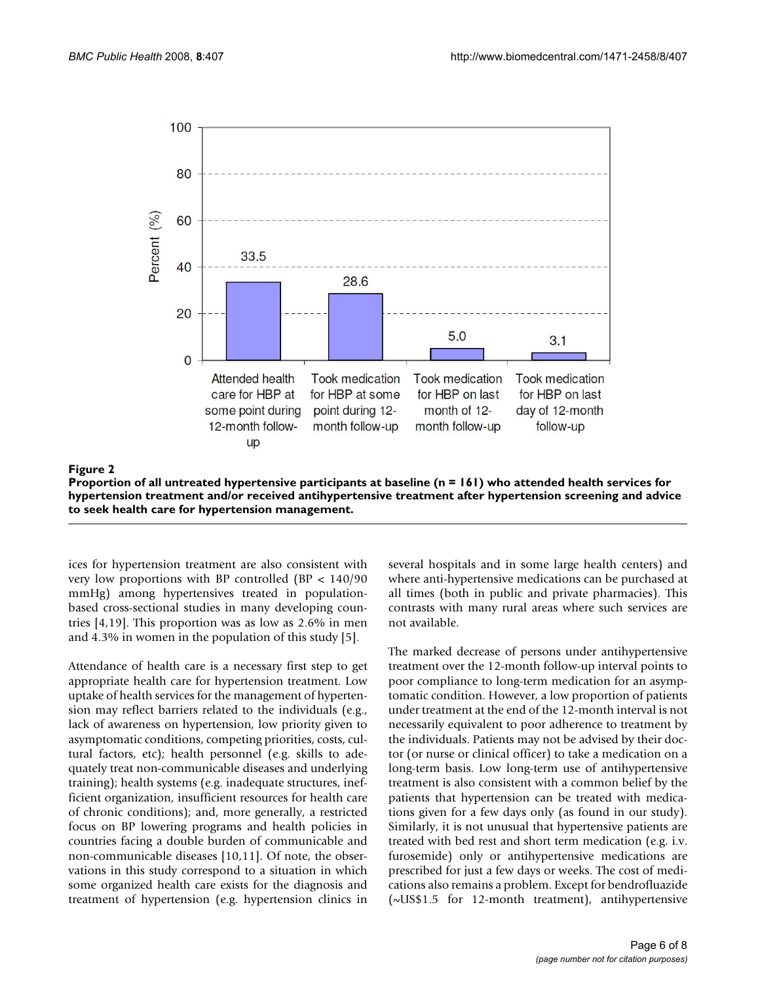

**Proportion of all untreated hypertensive participants at baseline (n = 161) who attended health services for hypertension treatment and/or received antihypertensive treatment after hypertension screening and advice to seek health care for hypertension management.**

ices for hypertension treatment are also consistent with very low proportions with BP controlled (BP < 140/90 mmHg) among hypertensives treated in populationbased cross-sectional studies in many developing countries [4,19]. This proportion was as low as 2.6% in men and 4.3% in women in the population of this study [5].

Attendance of health care is a necessary first step to get appropriate health care for hypertension treatment. Low uptake of health services for the management of hypertension may reflect barriers related to the individuals (e.g., lack of awareness on hypertension, low priority given to asymptomatic conditions, competing priorities, costs, cultural factors, etc); health personnel (e.g. skills to adequately treat non-communicable diseases and underlying training); health systems (e.g. inadequate structures, inefficient organization, insufficient resources for health care of chronic conditions); and, more generally, a restricted focus on BP lowering programs and health policies in countries facing a double burden of communicable and non-communicable diseases [10,11]. Of note, the observations in this study correspond to a situation in which some organized health care exists for the diagnosis and treatment of hypertension (e.g. hypertension clinics in

several hospitals and in some large health centers) and where anti-hypertensive medications can be purchased at all times (both in public and private pharmacies). This contrasts with many rural areas where such services are not available.

The marked decrease of persons under antihypertensive treatment over the 12-month follow-up interval points to poor compliance to long-term medication for an asymptomatic condition. However, a low proportion of patients under treatment at the end of the 12-month interval is not necessarily equivalent to poor adherence to treatment by the individuals. Patients may not be advised by their doctor (or nurse or clinical officer) to take a medication on a long-term basis. Low long-term use of antihypertensive treatment is also consistent with a common belief by the patients that hypertension can be treated with medications given for a few days only (as found in our study). Similarly, it is not unusual that hypertensive patients are treated with bed rest and short term medication (e.g. i.v. furosemide) only or antihypertensive medications are prescribed for just a few days or weeks. The cost of medications also remains a problem. Except for bendrofluazide (~US\$1.5 for 12-month treatment), antihypertensive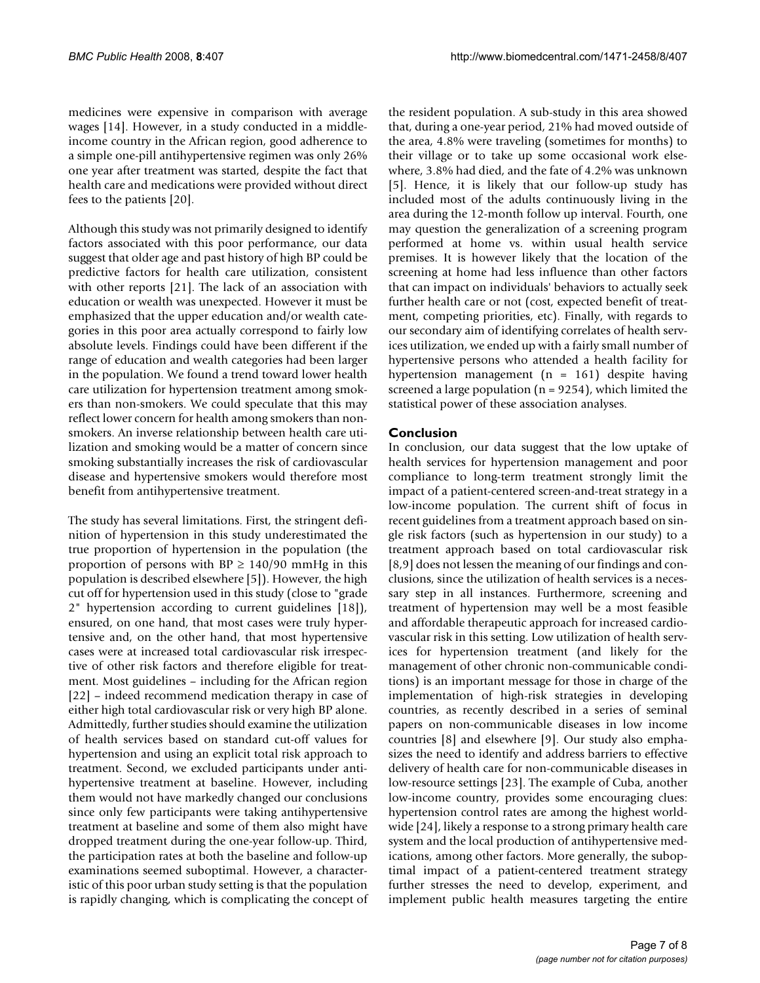medicines were expensive in comparison with average wages [14]. However, in a study conducted in a middleincome country in the African region, good adherence to a simple one-pill antihypertensive regimen was only 26% one year after treatment was started, despite the fact that health care and medications were provided without direct fees to the patients [20].

Although this study was not primarily designed to identify factors associated with this poor performance, our data suggest that older age and past history of high BP could be predictive factors for health care utilization, consistent with other reports [21]. The lack of an association with education or wealth was unexpected. However it must be emphasized that the upper education and/or wealth categories in this poor area actually correspond to fairly low absolute levels. Findings could have been different if the range of education and wealth categories had been larger in the population. We found a trend toward lower health care utilization for hypertension treatment among smokers than non-smokers. We could speculate that this may reflect lower concern for health among smokers than nonsmokers. An inverse relationship between health care utilization and smoking would be a matter of concern since smoking substantially increases the risk of cardiovascular disease and hypertensive smokers would therefore most benefit from antihypertensive treatment.

The study has several limitations. First, the stringent definition of hypertension in this study underestimated the true proportion of hypertension in the population (the proportion of persons with  $BP \ge 140/90$  mmHg in this population is described elsewhere [5]). However, the high cut off for hypertension used in this study (close to "grade 2" hypertension according to current guidelines [18]), ensured, on one hand, that most cases were truly hypertensive and, on the other hand, that most hypertensive cases were at increased total cardiovascular risk irrespective of other risk factors and therefore eligible for treatment. Most guidelines – including for the African region [22] – indeed recommend medication therapy in case of either high total cardiovascular risk or very high BP alone. Admittedly, further studies should examine the utilization of health services based on standard cut-off values for hypertension and using an explicit total risk approach to treatment. Second, we excluded participants under antihypertensive treatment at baseline. However, including them would not have markedly changed our conclusions since only few participants were taking antihypertensive treatment at baseline and some of them also might have dropped treatment during the one-year follow-up. Third, the participation rates at both the baseline and follow-up examinations seemed suboptimal. However, a characteristic of this poor urban study setting is that the population is rapidly changing, which is complicating the concept of the resident population. A sub-study in this area showed that, during a one-year period, 21% had moved outside of the area, 4.8% were traveling (sometimes for months) to their village or to take up some occasional work elsewhere, 3.8% had died, and the fate of 4.2% was unknown [5]. Hence, it is likely that our follow-up study has included most of the adults continuously living in the area during the 12-month follow up interval. Fourth, one may question the generalization of a screening program performed at home vs. within usual health service premises. It is however likely that the location of the screening at home had less influence than other factors that can impact on individuals' behaviors to actually seek further health care or not (cost, expected benefit of treatment, competing priorities, etc). Finally, with regards to our secondary aim of identifying correlates of health services utilization, we ended up with a fairly small number of hypertensive persons who attended a health facility for hypertension management (n = 161) despite having screened a large population ( $n = 9254$ ), which limited the statistical power of these association analyses.

### **Conclusion**

In conclusion, our data suggest that the low uptake of health services for hypertension management and poor compliance to long-term treatment strongly limit the impact of a patient-centered screen-and-treat strategy in a low-income population. The current shift of focus in recent guidelines from a treatment approach based on single risk factors (such as hypertension in our study) to a treatment approach based on total cardiovascular risk [8,9] does not lessen the meaning of our findings and conclusions, since the utilization of health services is a necessary step in all instances. Furthermore, screening and treatment of hypertension may well be a most feasible and affordable therapeutic approach for increased cardiovascular risk in this setting. Low utilization of health services for hypertension treatment (and likely for the management of other chronic non-communicable conditions) is an important message for those in charge of the implementation of high-risk strategies in developing countries, as recently described in a series of seminal papers on non-communicable diseases in low income countries [8] and elsewhere [9]. Our study also emphasizes the need to identify and address barriers to effective delivery of health care for non-communicable diseases in low-resource settings [23]. The example of Cuba, another low-income country, provides some encouraging clues: hypertension control rates are among the highest worldwide [24], likely a response to a strong primary health care system and the local production of antihypertensive medications, among other factors. More generally, the suboptimal impact of a patient-centered treatment strategy further stresses the need to develop, experiment, and implement public health measures targeting the entire